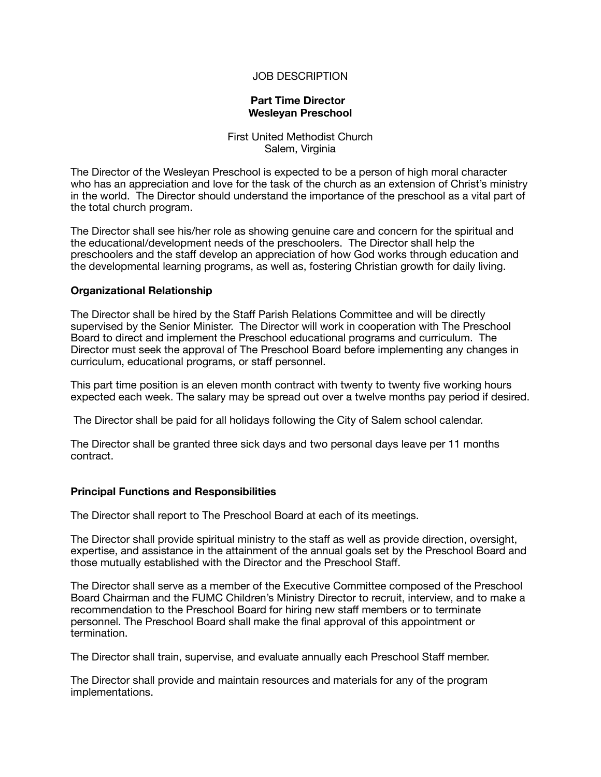# JOB DESCRIPTION

## **Part Time Director Wesleyan Preschool**

First United Methodist Church Salem, Virginia

The Director of the Wesleyan Preschool is expected to be a person of high moral character who has an appreciation and love for the task of the church as an extension of Christ's ministry in the world. The Director should understand the importance of the preschool as a vital part of the total church program.

The Director shall see his/her role as showing genuine care and concern for the spiritual and the educational/development needs of the preschoolers. The Director shall help the preschoolers and the staff develop an appreciation of how God works through education and the developmental learning programs, as well as, fostering Christian growth for daily living.

## **Organizational Relationship**

The Director shall be hired by the Staff Parish Relations Committee and will be directly supervised by the Senior Minister. The Director will work in cooperation with The Preschool Board to direct and implement the Preschool educational programs and curriculum. The Director must seek the approval of The Preschool Board before implementing any changes in curriculum, educational programs, or staff personnel.

This part time position is an eleven month contract with twenty to twenty five working hours expected each week. The salary may be spread out over a twelve months pay period if desired.

The Director shall be paid for all holidays following the City of Salem school calendar.

The Director shall be granted three sick days and two personal days leave per 11 months contract.

## **Principal Functions and Responsibilities**

The Director shall report to The Preschool Board at each of its meetings.

The Director shall provide spiritual ministry to the staff as well as provide direction, oversight, expertise, and assistance in the attainment of the annual goals set by the Preschool Board and those mutually established with the Director and the Preschool Staff.

The Director shall serve as a member of the Executive Committee composed of the Preschool Board Chairman and the FUMC Children's Ministry Director to recruit, interview, and to make a recommendation to the Preschool Board for hiring new staff members or to terminate personnel. The Preschool Board shall make the final approval of this appointment or termination.

The Director shall train, supervise, and evaluate annually each Preschool Staff member.

The Director shall provide and maintain resources and materials for any of the program implementations.